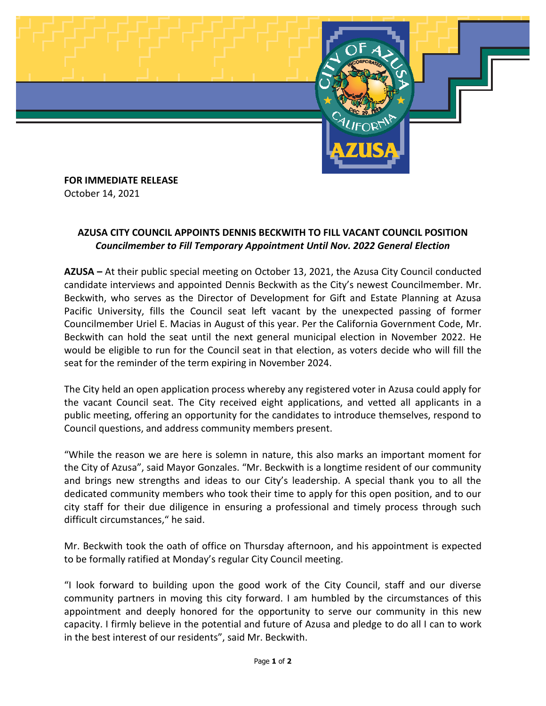

**FOR IMMEDIATE RELEASE** October 14, 2021

## **AZUSA CITY COUNCIL APPOINTS DENNIS BECKWITH TO FILL VACANT COUNCIL POSITION** *Councilmember to Fill Temporary Appointment Until Nov. 2022 General Election*

**AZUSA –** At their public special meeting on October 13, 2021, the Azusa City Council conducted candidate interviews and appointed Dennis Beckwith as the City's newest Councilmember. Mr. Beckwith, who serves as the Director of Development for Gift and Estate Planning at Azusa Pacific University, fills the Council seat left vacant by the unexpected passing of former Councilmember Uriel E. Macias in August of this year. Per the California Government Code, Mr. Beckwith can hold the seat until the next general municipal election in November 2022. He would be eligible to run for the Council seat in that election, as voters decide who will fill the seat for the reminder of the term expiring in November 2024.

The City held an open application process whereby any registered voter in Azusa could apply for the vacant Council seat. The City received eight applications, and vetted all applicants in a public meeting, offering an opportunity for the candidates to introduce themselves, respond to Council questions, and address community members present.

"While the reason we are here is solemn in nature, this also marks an important moment for the City of Azusa", said Mayor Gonzales. "Mr. Beckwith is a longtime resident of our community and brings new strengths and ideas to our City's leadership. A special thank you to all the dedicated community members who took their time to apply for this open position, and to our city staff for their due diligence in ensuring a professional and timely process through such difficult circumstances," he said.

Mr. Beckwith took the oath of office on Thursday afternoon, and his appointment is expected to be formally ratified at Monday's regular City Council meeting.

"I look forward to building upon the good work of the City Council, staff and our diverse community partners in moving this city forward. I am humbled by the circumstances of this appointment and deeply honored for the opportunity to serve our community in this new capacity. I firmly believe in the potential and future of Azusa and pledge to do all I can to work in the best interest of our residents", said Mr. Beckwith.